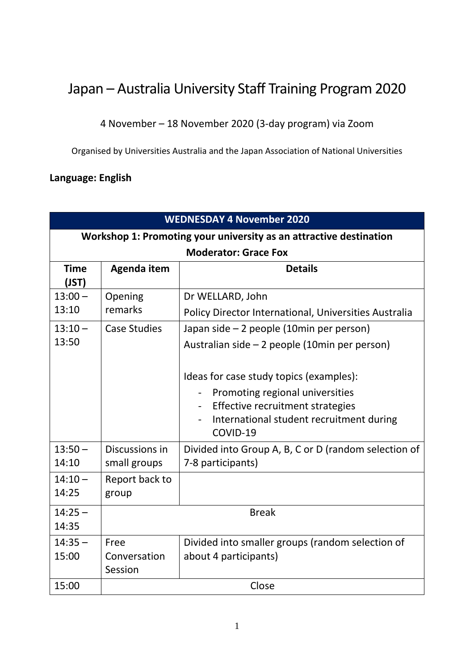## Japan – Australia University Staff Training Program 2020

4 November – 18 November 2020 (3-day program) via Zoom

Organised by Universities Australia and the Japan Association of National Universities

## **Language: English**

| <b>WEDNESDAY 4 November 2020</b>                                   |                                 |                                                                                                                                                                                                                                                                                                                             |  |  |  |
|--------------------------------------------------------------------|---------------------------------|-----------------------------------------------------------------------------------------------------------------------------------------------------------------------------------------------------------------------------------------------------------------------------------------------------------------------------|--|--|--|
| Workshop 1: Promoting your university as an attractive destination |                                 |                                                                                                                                                                                                                                                                                                                             |  |  |  |
| <b>Moderator: Grace Fox</b>                                        |                                 |                                                                                                                                                                                                                                                                                                                             |  |  |  |
| <b>Time</b><br>(JST)                                               | Agenda item                     | <b>Details</b>                                                                                                                                                                                                                                                                                                              |  |  |  |
| $13:00 -$<br>13:10                                                 | Opening<br>remarks              | Dr WELLARD, John<br>Policy Director International, Universities Australia                                                                                                                                                                                                                                                   |  |  |  |
| $13:10 -$<br>13:50                                                 | <b>Case Studies</b>             | Japan side – 2 people (10min per person)<br>Australian side - 2 people (10min per person)<br>Ideas for case study topics (examples):<br>Promoting regional universities<br>$\overline{\phantom{0}}$<br>Effective recruitment strategies<br>$\overline{\phantom{a}}$<br>International student recruitment during<br>COVID-19 |  |  |  |
| $13:50 -$<br>14:10                                                 | Discussions in<br>small groups  | Divided into Group A, B, C or D (random selection of<br>7-8 participants)                                                                                                                                                                                                                                                   |  |  |  |
| $14:10 -$<br>14:25                                                 | Report back to<br>group         |                                                                                                                                                                                                                                                                                                                             |  |  |  |
| $14:25 -$<br>14:35                                                 | <b>Break</b>                    |                                                                                                                                                                                                                                                                                                                             |  |  |  |
| $14:35 -$<br>15:00                                                 | Free<br>Conversation<br>Session | Divided into smaller groups (random selection of<br>about 4 participants)                                                                                                                                                                                                                                                   |  |  |  |
| 15:00                                                              | Close                           |                                                                                                                                                                                                                                                                                                                             |  |  |  |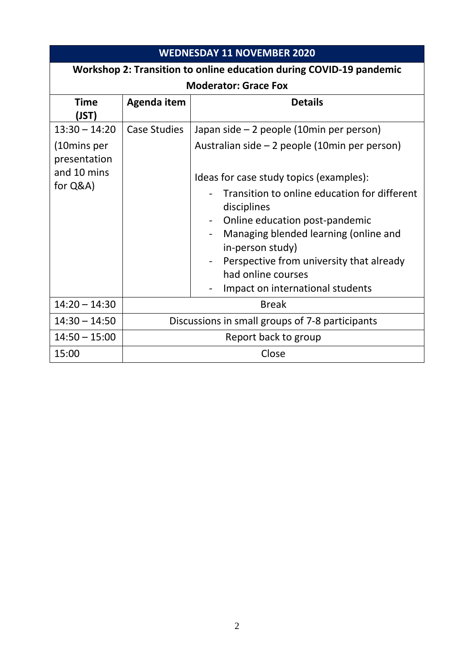| <b>WEDNESDAY 11 NOVEMBER 2020</b>                                   |                                                 |                                                                |  |  |  |
|---------------------------------------------------------------------|-------------------------------------------------|----------------------------------------------------------------|--|--|--|
| Workshop 2: Transition to online education during COVID-19 pandemic |                                                 |                                                                |  |  |  |
| <b>Moderator: Grace Fox</b>                                         |                                                 |                                                                |  |  |  |
| <b>Time</b><br>(JST)                                                | Agenda item                                     | <b>Details</b>                                                 |  |  |  |
| $13:30 - 14:20$                                                     | <b>Case Studies</b>                             | Japan side - 2 people (10min per person)                       |  |  |  |
| (10mins per<br>presentation                                         |                                                 | Australian side $-2$ people (10min per person)                 |  |  |  |
| and 10 mins                                                         |                                                 | Ideas for case study topics (examples):                        |  |  |  |
| for Q&A)                                                            |                                                 | Transition to online education for different<br>disciplines    |  |  |  |
|                                                                     |                                                 | Online education post-pandemic                                 |  |  |  |
|                                                                     |                                                 | Managing blended learning (online and<br>in-person study)      |  |  |  |
|                                                                     |                                                 | Perspective from university that already<br>had online courses |  |  |  |
|                                                                     |                                                 | Impact on international students                               |  |  |  |
| $14:20 - 14:30$                                                     |                                                 | <b>Break</b>                                                   |  |  |  |
| $14:30 - 14:50$                                                     | Discussions in small groups of 7-8 participants |                                                                |  |  |  |
| $14:50 - 15:00$                                                     | Report back to group                            |                                                                |  |  |  |
| 15:00                                                               |                                                 | Close                                                          |  |  |  |